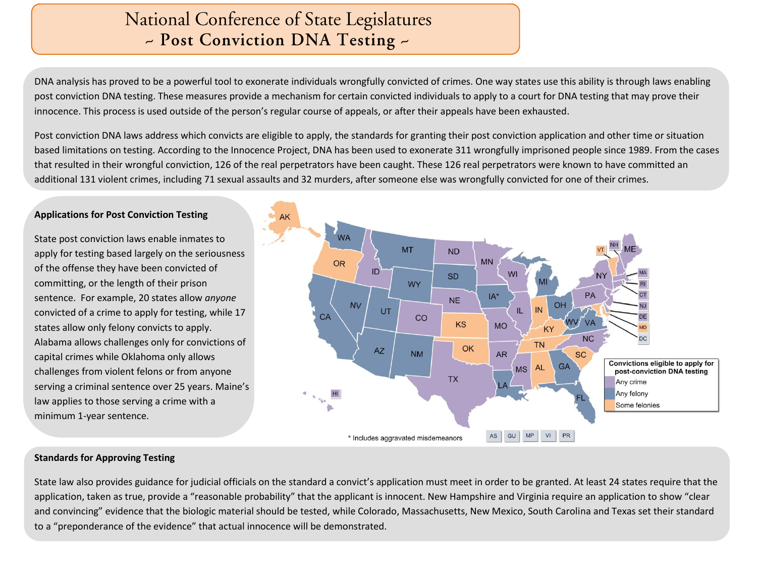# National Conference of State Legislatures - Post Conviction DNA Testing -

DNA analysis has proved to be a powerful tool to exonerate individuals wrongfully convicted of crimes. One way states use this ability is through laws enabling post conviction DNA testing. These measures provide a mechanism for certain convicted individuals to apply to a court for DNA testing that may prove their innocence. This process is used outside of the person's regular course of appeals, or after their appeals have been exhausted.

Post conviction DNA laws address which convicts are eligible to apply, the standards for granting their post conviction application and other time or situation based limitations on testing. According to the Innocence Project, DNA has been used to exonerate 311 wrongfully imprisoned people since 1989. From the cases that resulted in their wrongful conviction, 126 of the real perpetrators have been caught. These 126 real perpetrators were known to have committed an additional 131 violent crimes, including 71 sexual assaults and 32 murders, after someone else was wrongfully convicted for one of their crimes.

# **Applications for Post Conviction Testing**

State post conviction laws enable inmates to apply for testing based largely on the seriousness of the offense they have been convicted of committing, or the length of their prison sentence. For example, 20 states allow *anyone* convicted of a crime to apply for testing, while 17 states allow only felony convicts to apply. Alabama allows challenges only for convictions of capital crimes while Oklahoma only allows challenges from violent felons or from anyone serving a criminal sentence over 25 years. Maine's law applies to those serving a crime with a minimum 1-year sentence.



#### **Standards for Approving Testing**

State law also provides guidance for judicial officials on the standard a convict's application must meet in order to be granted. At least 24 states require that the application, taken as true, provide a "reasonable probability" that the applicant is innocent. New Hampshire and Virginia require an application to show "clear and convincing" evidence that the biologic material should be tested, while Colorado, Massachusetts, New Mexico, South Carolina and Texas set their standard to a "preponderance of the evidence" that actual innocence will be demonstrated.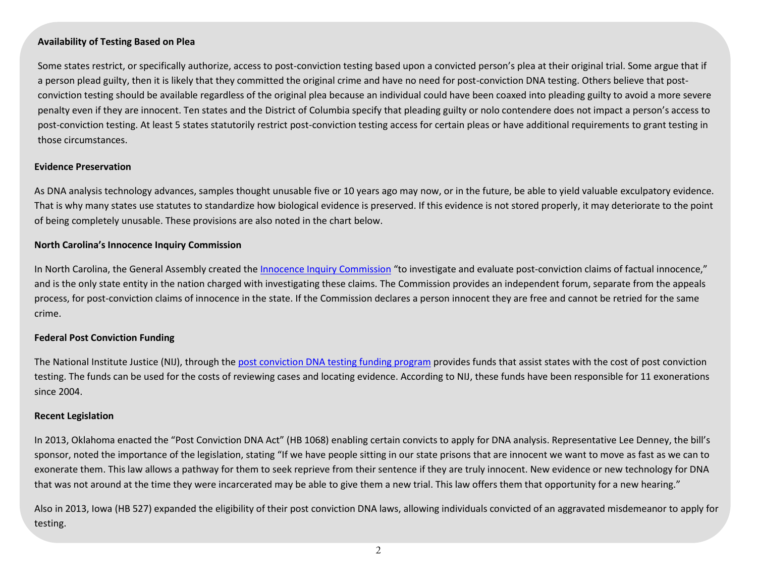# **Availability of Testing Based on Plea**

Some states restrict, or specifically authorize, access to post-conviction testing based upon a convicted person's plea at their original trial. Some argue that if a person plead guilty, then it is likely that they committed the original crime and have no need for post-conviction DNA testing. Others believe that postconviction testing should be available regardless of the original plea because an individual could have been coaxed into pleading guilty to avoid a more severe penalty even if they are innocent. Ten states and the District of Columbia specify that pleading guilty or nolo contendere does not impact a person's access to post-conviction testing. At least 5 states statutorily restrict post-conviction testing access for certain pleas or have additional requirements to grant testing in those circumstances.

# **Evidence Preservation**

As DNA analysis technology advances, samples thought unusable five or 10 years ago may now, or in the future, be able to yield valuable exculpatory evidence. That is why many states use statutes to standardize how biological evidence is preserved. If this evidence is not stored properly, it may deteriorate to the point of being completely unusable. These provisions are also noted in the chart below.

# **North Carolina's Innocence Inquiry Commission**

In North Carolina, the General Assembly created the [Innocence Inquiry Commission](http://www.innocencecommission-nc.gov/) "to investigate and evaluate post-conviction claims of factual innocence," and is the only state entity in the nation charged with investigating these claims. The Commission provides an independent forum, separate from the appeals process, for post-conviction claims of innocence in the state. If the Commission declares a person innocent they are free and cannot be retried for the same crime.

# **Federal Post Conviction Funding**

The National Institute Justice (NIJ), through the post [conviction DNA testing funding program](http://www.nij.gov/topics/justice-system/wrongful-convictions/Pages/postconviction-dna-funding-program.aspx) provides funds that assist states with the cost of post conviction testing. The funds can be used for the costs of reviewing cases and locating evidence. According to NIJ, these funds have been responsible for 11 exonerations since 2004.

# **Recent Legislation**

In 2013, Oklahoma enacted the "Post Conviction DNA Act" (HB 1068) enabling certain convicts to apply for DNA analysis. Representative Lee Denney, the bill's sponsor, noted the importance of the legislation, stating "If we have people sitting in our state prisons that are innocent we want to move as fast as we can to exonerate them. This law allows a pathway for them to seek reprieve from their sentence if they are truly innocent. New evidence or new technology for DNA that was not around at the time they were incarcerated may be able to give them a new trial. This law offers them that opportunity for a new hearing."

Also in 2013, Iowa (HB 527) expanded the eligibility of their post conviction DNA laws, allowing individuals convicted of an aggravated misdemeanor to apply for testing.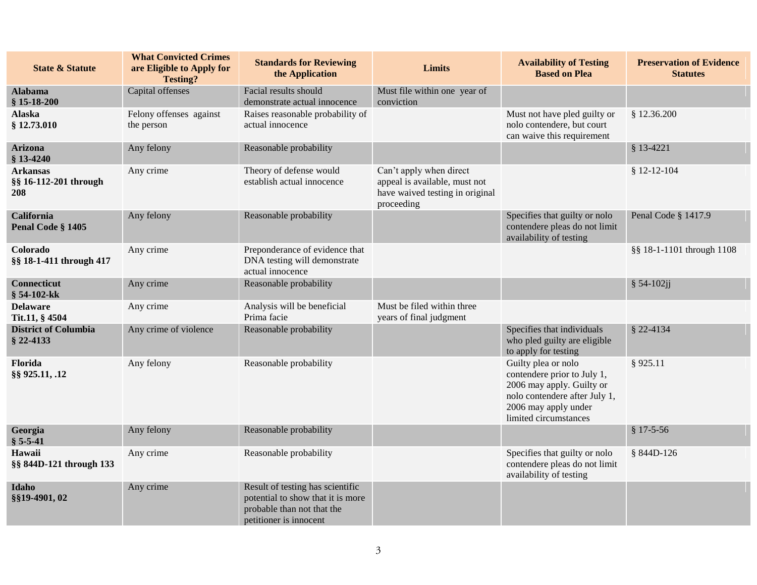| <b>State &amp; Statute</b>                      | <b>What Convicted Crimes</b><br>are Eligible to Apply for<br><b>Testing?</b> | <b>Standards for Reviewing</b><br>the Application                                                                             | <b>Limits</b>                                                                                             | <b>Availability of Testing</b><br><b>Based on Plea</b>                                                                                                            | <b>Preservation of Evidence</b><br><b>Statutes</b> |
|-------------------------------------------------|------------------------------------------------------------------------------|-------------------------------------------------------------------------------------------------------------------------------|-----------------------------------------------------------------------------------------------------------|-------------------------------------------------------------------------------------------------------------------------------------------------------------------|----------------------------------------------------|
| <b>Alabama</b><br>$$15-18-200$                  | Capital offenses                                                             | Facial results should<br>demonstrate actual innocence                                                                         | Must file within one year of<br>conviction                                                                |                                                                                                                                                                   |                                                    |
| <b>Alaska</b><br>§ 12.73.010                    | Felony offenses against<br>the person                                        | Raises reasonable probability of<br>actual innocence                                                                          |                                                                                                           | Must not have pled guilty or<br>nolo contendere, but court<br>can waive this requirement                                                                          | § 12.36.200                                        |
| <b>Arizona</b><br>$$13-4240$                    | Any felony                                                                   | Reasonable probability                                                                                                        |                                                                                                           |                                                                                                                                                                   | $$13-4221$                                         |
| <b>Arkansas</b><br>§§ 16-112-201 through<br>208 | Any crime                                                                    | Theory of defense would<br>establish actual innocence                                                                         | Can't apply when direct<br>appeal is available, must not<br>have waived testing in original<br>proceeding |                                                                                                                                                                   | $$12-12-104$                                       |
| <b>California</b><br>Penal Code § 1405          | Any felony                                                                   | Reasonable probability                                                                                                        |                                                                                                           | Specifies that guilty or nolo<br>contendere pleas do not limit<br>availability of testing                                                                         | Penal Code § 1417.9                                |
| Colorado<br>§§ 18-1-411 through 417             | Any crime                                                                    | Preponderance of evidence that<br>DNA testing will demonstrate<br>actual innocence                                            |                                                                                                           |                                                                                                                                                                   | §§ 18-1-1101 through 1108                          |
| <b>Connecticut</b><br>§ 54-102-kk               | Any crime                                                                    | Reasonable probability                                                                                                        |                                                                                                           |                                                                                                                                                                   | § 54-102ji                                         |
| <b>Delaware</b><br>Tit.11, § 4504               | Any crime                                                                    | Analysis will be beneficial<br>Prima facie                                                                                    | Must be filed within three<br>years of final judgment                                                     |                                                                                                                                                                   |                                                    |
| <b>District of Columbia</b><br>§ 22-4133        | Any crime of violence                                                        | Reasonable probability                                                                                                        |                                                                                                           | Specifies that individuals<br>who pled guilty are eligible<br>to apply for testing                                                                                | § 22-4134                                          |
| Florida<br>§§ 925.11, .12                       | Any felony                                                                   | Reasonable probability                                                                                                        |                                                                                                           | Guilty plea or nolo<br>contendere prior to July 1,<br>2006 may apply. Guilty or<br>nolo contendere after July 1,<br>2006 may apply under<br>limited circumstances | §925.11                                            |
| Georgia<br>$$5-5-41$                            | Any felony                                                                   | Reasonable probability                                                                                                        |                                                                                                           |                                                                                                                                                                   | $$17-5-56$                                         |
| Hawaii<br>§§ 844D-121 through 133               | Any crime                                                                    | Reasonable probability                                                                                                        |                                                                                                           | Specifies that guilty or nolo<br>contendere pleas do not limit<br>availability of testing                                                                         | § 844D-126                                         |
| Idaho<br>§§19-4901, 02                          | Any crime                                                                    | Result of testing has scientific<br>potential to show that it is more<br>probable than not that the<br>petitioner is innocent |                                                                                                           |                                                                                                                                                                   |                                                    |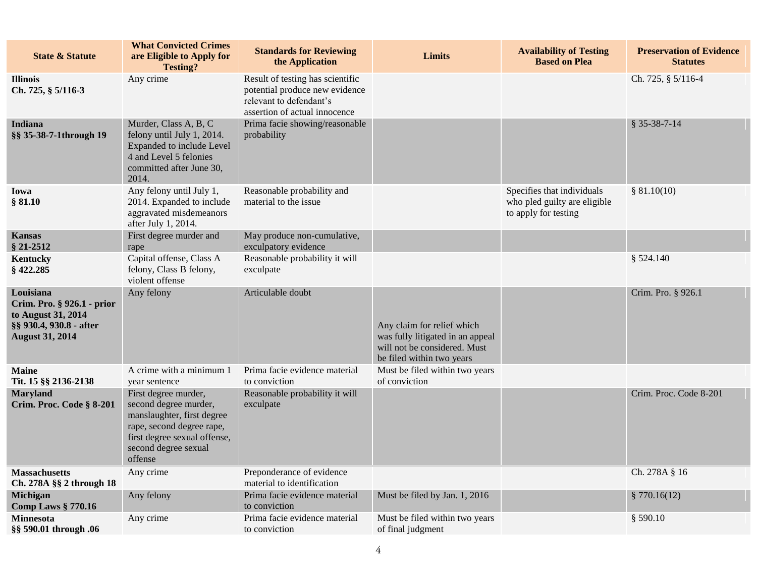| <b>State &amp; Statute</b>                                                                                         | <b>What Convicted Crimes</b><br>are Eligible to Apply for<br><b>Testing?</b>                                                                                                | <b>Standards for Reviewing</b><br>the Application                                                                              | <b>Limits</b>                                                                                                               | <b>Availability of Testing</b><br><b>Based on Plea</b>                             | <b>Preservation of Evidence</b><br><b>Statutes</b> |
|--------------------------------------------------------------------------------------------------------------------|-----------------------------------------------------------------------------------------------------------------------------------------------------------------------------|--------------------------------------------------------------------------------------------------------------------------------|-----------------------------------------------------------------------------------------------------------------------------|------------------------------------------------------------------------------------|----------------------------------------------------|
| <b>Illinois</b><br>Ch. 725, § 5/116-3                                                                              | Any crime                                                                                                                                                                   | Result of testing has scientific<br>potential produce new evidence<br>relevant to defendant's<br>assertion of actual innocence |                                                                                                                             |                                                                                    | Ch. 725, § 5/116-4                                 |
| <b>Indiana</b><br>§§ 35-38-7-1through 19                                                                           | Murder, Class A, B, C<br>felony until July 1, 2014.<br>Expanded to include Level<br>4 and Level 5 felonies<br>committed after June 30,<br>2014.                             | Prima facie showing/reasonable<br>probability                                                                                  |                                                                                                                             |                                                                                    | $$35-38-7-14$                                      |
| Iowa<br>\$81.10                                                                                                    | Any felony until July 1,<br>2014. Expanded to include<br>aggravated misdemeanors<br>after July 1, 2014.                                                                     | Reasonable probability and<br>material to the issue                                                                            |                                                                                                                             | Specifies that individuals<br>who pled guilty are eligible<br>to apply for testing | \$81.10(10)                                        |
| <b>Kansas</b><br>§ 21-2512                                                                                         | First degree murder and<br>rape                                                                                                                                             | May produce non-cumulative,<br>exculpatory evidence                                                                            |                                                                                                                             |                                                                                    |                                                    |
| <b>Kentucky</b><br>§422.285                                                                                        | Capital offense, Class A<br>felony, Class B felony,<br>violent offense                                                                                                      | Reasonable probability it will<br>exculpate                                                                                    |                                                                                                                             |                                                                                    | \$524.140                                          |
| Louisiana<br>Crim. Pro. § 926.1 - prior<br>to August 31, 2014<br>§§ 930.4, 930.8 - after<br><b>August 31, 2014</b> | Any felony                                                                                                                                                                  | Articulable doubt                                                                                                              | Any claim for relief which<br>was fully litigated in an appeal<br>will not be considered. Must<br>be filed within two years |                                                                                    | Crim. Pro. § 926.1                                 |
| <b>Maine</b><br>Tit. 15 §§ 2136-2138                                                                               | A crime with a minimum 1<br>year sentence                                                                                                                                   | Prima facie evidence material<br>to conviction                                                                                 | Must be filed within two years<br>of conviction                                                                             |                                                                                    |                                                    |
| <b>Maryland</b><br>Crim. Proc. Code § 8-201                                                                        | First degree murder,<br>second degree murder,<br>manslaughter, first degree<br>rape, second degree rape,<br>first degree sexual offense,<br>second degree sexual<br>offense | Reasonable probability it will<br>exculpate                                                                                    |                                                                                                                             |                                                                                    | Crim. Proc. Code 8-201                             |
| <b>Massachusetts</b><br>Ch. 278A §§ 2 through 18                                                                   | Any crime                                                                                                                                                                   | Preponderance of evidence<br>material to identification                                                                        |                                                                                                                             |                                                                                    | Ch. 278A § 16                                      |
| Michigan<br><b>Comp Laws § 770.16</b>                                                                              | Any felony                                                                                                                                                                  | Prima facie evidence material<br>to conviction                                                                                 | Must be filed by Jan. 1, 2016                                                                                               |                                                                                    | \$770.16(12)                                       |
| <b>Minnesota</b><br>§§ 590.01 through .06                                                                          | Any crime                                                                                                                                                                   | Prima facie evidence material<br>to conviction                                                                                 | Must be filed within two years<br>of final judgment                                                                         |                                                                                    | $§$ 590.10                                         |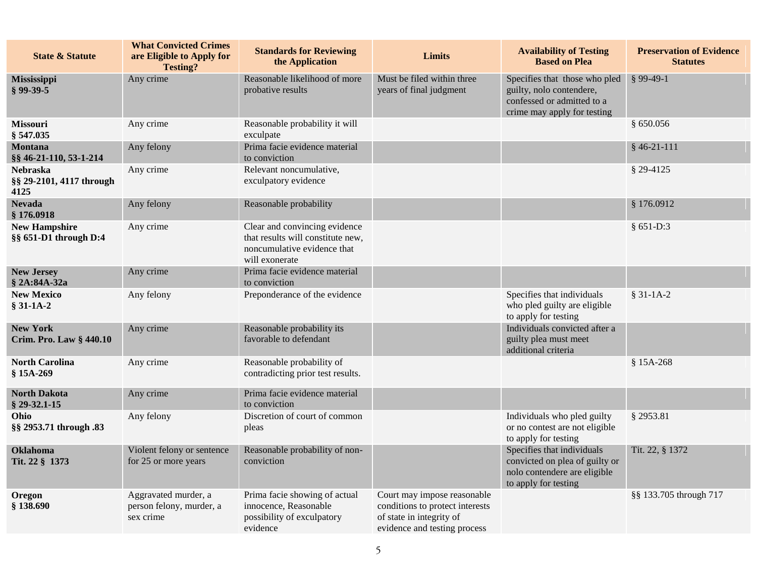| <b>State &amp; Statute</b>                          | <b>What Convicted Crimes</b><br>are Eligible to Apply for<br><b>Testing?</b> | <b>Standards for Reviewing</b><br>the Application                                                                   | Limits                                                                                                                     | <b>Availability of Testing</b><br><b>Based on Plea</b>                                                                 | <b>Preservation of Evidence</b><br><b>Statutes</b> |
|-----------------------------------------------------|------------------------------------------------------------------------------|---------------------------------------------------------------------------------------------------------------------|----------------------------------------------------------------------------------------------------------------------------|------------------------------------------------------------------------------------------------------------------------|----------------------------------------------------|
| Mississippi<br>$§$ 99-39-5                          | Any crime                                                                    | Reasonable likelihood of more<br>probative results                                                                  | Must be filed within three<br>years of final judgment                                                                      | Specifies that those who pled<br>guilty, nolo contendere,<br>confessed or admitted to a<br>crime may apply for testing | $$99-49-1$                                         |
| <b>Missouri</b><br>§ 547.035                        | Any crime                                                                    | Reasonable probability it will<br>exculpate                                                                         |                                                                                                                            |                                                                                                                        | \$650.056                                          |
| Montana<br>§§ 46-21-110, 53-1-214                   | Any felony                                                                   | Prima facie evidence material<br>to conviction                                                                      |                                                                                                                            |                                                                                                                        | $§$ 46-21-111                                      |
| <b>Nebraska</b><br>§§ 29-2101, 4117 through<br>4125 | Any crime                                                                    | Relevant noncumulative,<br>exculpatory evidence                                                                     |                                                                                                                            |                                                                                                                        | § 29-4125                                          |
| <b>Nevada</b><br>§176.0918                          | Any felony                                                                   | Reasonable probability                                                                                              |                                                                                                                            |                                                                                                                        | \$176.0912                                         |
| <b>New Hampshire</b><br>§§ 651-D1 through D:4       | Any crime                                                                    | Clear and convincing evidence<br>that results will constitute new,<br>noncumulative evidence that<br>will exonerate |                                                                                                                            |                                                                                                                        | $§ 651-D:3$                                        |
| <b>New Jersey</b><br>§ 2A:84A-32a                   | Any crime                                                                    | Prima facie evidence material<br>to conviction                                                                      |                                                                                                                            |                                                                                                                        |                                                    |
| <b>New Mexico</b><br>$$31-1A-2$                     | Any felony                                                                   | Preponderance of the evidence                                                                                       |                                                                                                                            | Specifies that individuals<br>who pled guilty are eligible<br>to apply for testing                                     | $$31-1A-2$                                         |
| <b>New York</b><br>Crim. Pro. Law § 440.10          | Any crime                                                                    | Reasonable probability its<br>favorable to defendant                                                                |                                                                                                                            | Individuals convicted after a<br>guilty plea must meet<br>additional criteria                                          |                                                    |
| <b>North Carolina</b><br>§ 15A-269                  | Any crime                                                                    | Reasonable probability of<br>contradicting prior test results.                                                      |                                                                                                                            |                                                                                                                        | $$15A-268$                                         |
| <b>North Dakota</b><br>$$29-32.1-15$                | Any crime                                                                    | Prima facie evidence material<br>to conviction                                                                      |                                                                                                                            |                                                                                                                        |                                                    |
| Ohio<br>§§ 2953.71 through .83                      | Any felony                                                                   | Discretion of court of common<br>pleas                                                                              |                                                                                                                            | Individuals who pled guilty<br>or no contest are not eligible<br>to apply for testing                                  | § 2953.81                                          |
| Oklahoma<br>Tit. 22 § 1373                          | Violent felony or sentence<br>for 25 or more years                           | Reasonable probability of non-<br>conviction                                                                        |                                                                                                                            | Specifies that individuals<br>convicted on plea of guilty or<br>nolo contendere are eligible<br>to apply for testing   | Tit. 22, § 1372                                    |
| Oregon<br>§ 138.690                                 | Aggravated murder, a<br>person felony, murder, a<br>sex crime                | Prima facie showing of actual<br>innocence, Reasonable<br>possibility of exculpatory<br>evidence                    | Court may impose reasonable<br>conditions to protect interests<br>of state in integrity of<br>evidence and testing process |                                                                                                                        | §§ 133.705 through 717                             |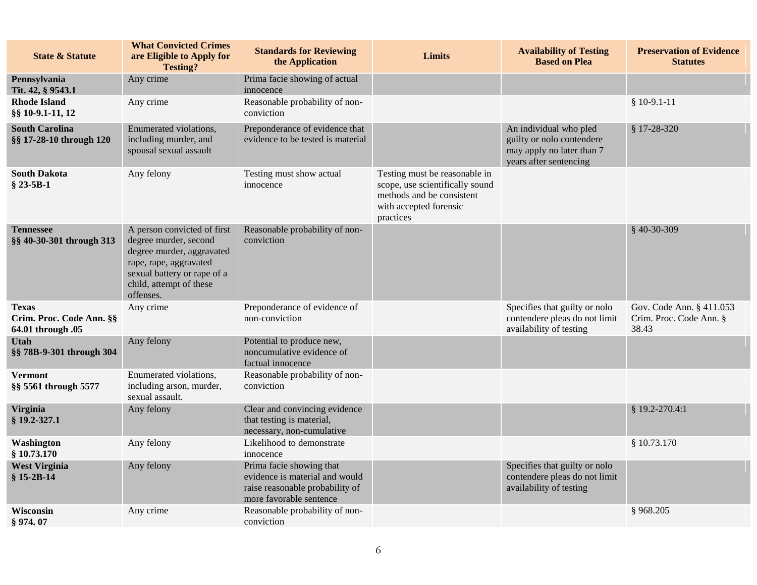| <b>State &amp; Statute</b>                                    | <b>What Convicted Crimes</b><br>are Eligible to Apply for<br><b>Testing?</b>                                                                                                       | <b>Standards for Reviewing</b><br>the Application                                                                        | Limits                                                                                                                               | <b>Availability of Testing</b><br><b>Based on Plea</b>                                                     | <b>Preservation of Evidence</b><br><b>Statutes</b>           |
|---------------------------------------------------------------|------------------------------------------------------------------------------------------------------------------------------------------------------------------------------------|--------------------------------------------------------------------------------------------------------------------------|--------------------------------------------------------------------------------------------------------------------------------------|------------------------------------------------------------------------------------------------------------|--------------------------------------------------------------|
| Pennsylvania<br>Tit. 42, § 9543.1                             | Any crime                                                                                                                                                                          | Prima facie showing of actual<br>innocence                                                                               |                                                                                                                                      |                                                                                                            |                                                              |
| <b>Rhode Island</b><br>§§ 10-9.1-11, 12                       | Any crime                                                                                                                                                                          | Reasonable probability of non-<br>conviction                                                                             |                                                                                                                                      |                                                                                                            | $$10-9.1-11$                                                 |
| <b>South Carolina</b><br>§§ 17-28-10 through 120              | Enumerated violations,<br>including murder, and<br>spousal sexual assault                                                                                                          | Preponderance of evidence that<br>evidence to be tested is material                                                      |                                                                                                                                      | An individual who pled<br>guilty or nolo contendere<br>may apply no later than 7<br>years after sentencing | $$17-28-320$                                                 |
| <b>South Dakota</b><br>$$23-5B-1$                             | Any felony                                                                                                                                                                         | Testing must show actual<br>innocence                                                                                    | Testing must be reasonable in<br>scope, use scientifically sound<br>methods and be consistent<br>with accepted forensic<br>practices |                                                                                                            |                                                              |
| <b>Tennessee</b><br>§§ 40-30-301 through 313                  | A person convicted of first<br>degree murder, second<br>degree murder, aggravated<br>rape, rape, aggravated<br>sexual battery or rape of a<br>child, attempt of these<br>offenses. | Reasonable probability of non-<br>conviction                                                                             |                                                                                                                                      |                                                                                                            | $$40-30-309$                                                 |
| <b>Texas</b><br>Crim. Proc. Code Ann. §§<br>64.01 through .05 | Any crime                                                                                                                                                                          | Preponderance of evidence of<br>non-conviction                                                                           |                                                                                                                                      | Specifies that guilty or nolo<br>contendere pleas do not limit<br>availability of testing                  | Gov. Code Ann. § 411.053<br>Crim. Proc. Code Ann. §<br>38.43 |
| <b>Utah</b><br>§§ 78B-9-301 through 304                       | Any felony                                                                                                                                                                         | Potential to produce new,<br>noncumulative evidence of<br>factual innocence                                              |                                                                                                                                      |                                                                                                            |                                                              |
| <b>Vermont</b><br>§§ 5561 through 5577                        | Enumerated violations,<br>including arson, murder,<br>sexual assault.                                                                                                              | Reasonable probability of non-<br>conviction                                                                             |                                                                                                                                      |                                                                                                            |                                                              |
| <b>Virginia</b><br>§ 19.2-327.1                               | Any felony                                                                                                                                                                         | Clear and convincing evidence<br>that testing is material,<br>necessary, non-cumulative                                  |                                                                                                                                      |                                                                                                            | § 19.2-270.4:1                                               |
| Washington<br>\$10.73.170                                     | Any felony                                                                                                                                                                         | Likelihood to demonstrate<br>innocence                                                                                   |                                                                                                                                      |                                                                                                            | \$10.73.170                                                  |
| <b>West Virginia</b><br>$$15-2B-14$                           | Any felony                                                                                                                                                                         | Prima facie showing that<br>evidence is material and would<br>raise reasonable probability of<br>more favorable sentence |                                                                                                                                      | Specifies that guilty or nolo<br>contendere pleas do not limit<br>availability of testing                  |                                                              |
| Wisconsin<br>\$974.07                                         | Any crime                                                                                                                                                                          | Reasonable probability of non-<br>conviction                                                                             |                                                                                                                                      |                                                                                                            | §968.205                                                     |